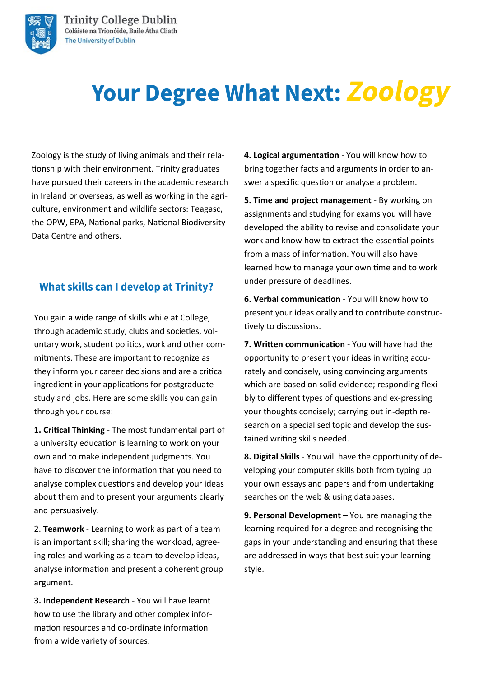

# **Your Degree What Next: Zoology**

Zoology is the study of living animals and their relationship with their environment. Trinity graduates have pursued their careers in the academic research in Ireland or overseas, as well as working in the agriculture, environment and wildlife sectors: Teagasc, the OPW, EPA, National parks, National Biodiversity Data Centre and others.

### **What skills can I develop at Trinity?**

You gain a wide range of skills while at College, through academic study, clubs and societies, voluntary work, student politics, work and other commitments. These are important to recognize as they inform your career decisions and are a critical ingredient in your applications for postgraduate study and jobs. Here are some skills you can gain through your course:

**1. Critical Thinking** - The most fundamental part of a university education is learning to work on your own and to make independent judgments. You have to discover the information that you need to analyse complex questions and develop your ideas about them and to present your arguments clearly and persuasively.

2. **Teamwork** - Learning to work as part of a team is an important skill; sharing the workload, agreeing roles and working as a team to develop ideas, analyse information and present a coherent group argument.

**3. Independent Research** - You will have learnt how to use the library and other complex information resources and co-ordinate information from a wide variety of sources.

**4. Logical argumentation** - You will know how to bring together facts and arguments in order to answer a specific question or analyse a problem.

**5. Time and project management** - By working on assignments and studying for exams you will have developed the ability to revise and consolidate your work and know how to extract the essential points from a mass of information. You will also have learned how to manage your own time and to work under pressure of deadlines.

**6. Verbal communication** - You will know how to present your ideas orally and to contribute constructively to discussions.

**7. Written communication** - You will have had the opportunity to present your ideas in writing accurately and concisely, using convincing arguments which are based on solid evidence; responding flexibly to different types of questions and ex-pressing your thoughts concisely; carrying out in-depth research on a specialised topic and develop the sustained writing skills needed.

**8. Digital Skills** - You will have the opportunity of developing your computer skills both from typing up your own essays and papers and from undertaking searches on the web & using databases.

**9. Personal Development** – You are managing the learning required for a degree and recognising the gaps in your understanding and ensuring that these are addressed in ways that best suit your learning style.